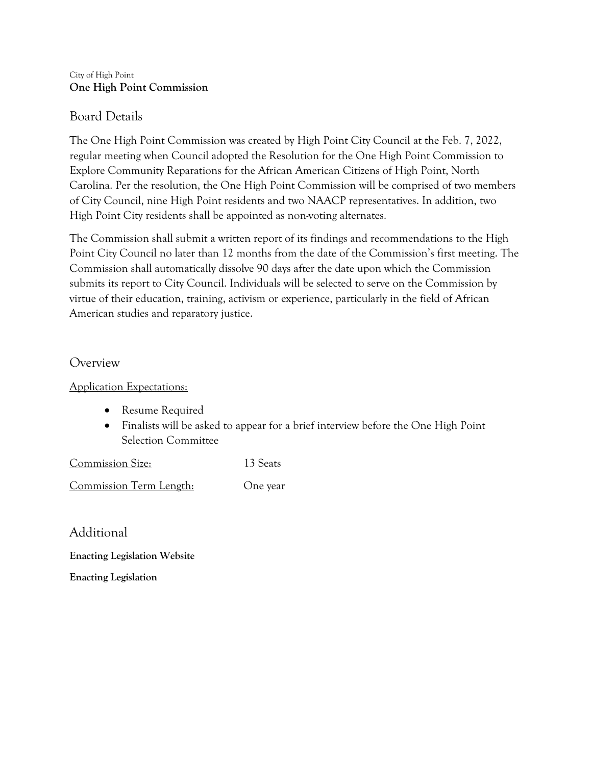#### City of High Point **One High Point Commission**

### Board Details

The One High Point Commission was created by High Point City Council at the Feb. 7, 2022, regular meeting when Council adopted the Resolution for the One High Point Commission to Explore Community Reparations for the African American Citizens of High Point, North Carolina. Per the resolution, the One High Point Commission will be comprised of two members of City Council, nine High Point residents and two NAACP representatives. In addition, two High Point City residents shall be appointed as non-voting alternates.

The Commission shall submit a written report of its findings and recommendations to the High Point City Council no later than 12 months from the date of the Commission's first meeting. The Commission shall automatically dissolve 90 days after the date upon which the Commission submits its report to City Council. Individuals will be selected to serve on the Commission by virtue of their education, training, activism or experience, particularly in the field of African American studies and reparatory justice.

### Overview

Application Expectations:

- Resume Required
- Finalists will be asked to appear for a brief interview before the One High Point Selection Committee

Commission Size: 13 Seats

Commission Term Length: One year

Additional

**Enacting Legislation Website**

**Enacting Legislation**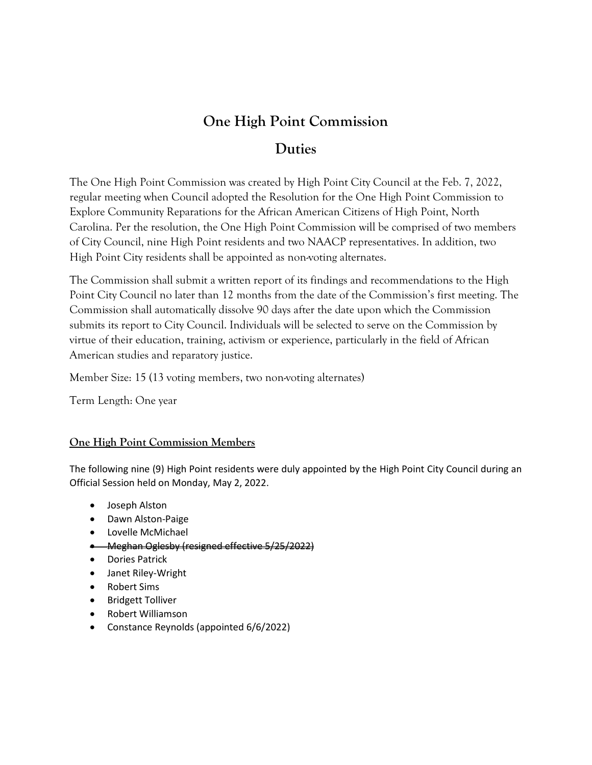# **One High Point Commission**

## **Duties**

The One High Point Commission was created by High Point City Council at the Feb. 7, 2022, regular meeting when Council adopted the Resolution for the One High Point Commission to Explore Community Reparations for the African American Citizens of High Point, North Carolina. Per the resolution, the One High Point Commission will be comprised of two members of City Council, nine High Point residents and two NAACP representatives. In addition, two High Point City residents shall be appointed as non-voting alternates.

The Commission shall submit a written report of its findings and recommendations to the High Point City Council no later than 12 months from the date of the Commission's first meeting. The Commission shall automatically dissolve 90 days after the date upon which the Commission submits its report to City Council. Individuals will be selected to serve on the Commission by virtue of their education, training, activism or experience, particularly in the field of African American studies and reparatory justice.

Member Size: 15 (13 voting members, two non-voting alternates)

Term Length: One year

### **One High Point Commission Members**

The following nine (9) High Point residents were duly appointed by the High Point City Council during an Official Session held on Monday, May 2, 2022.

- Joseph Alston
- Dawn Alston-Paige
- Lovelle McMichael
- Meghan Oglesby (resigned effective 5/25/2022)
- Dories Patrick
- Janet Riley-Wright
- Robert Sims
- Bridgett Tolliver
- Robert Williamson
- Constance Reynolds (appointed 6/6/2022)